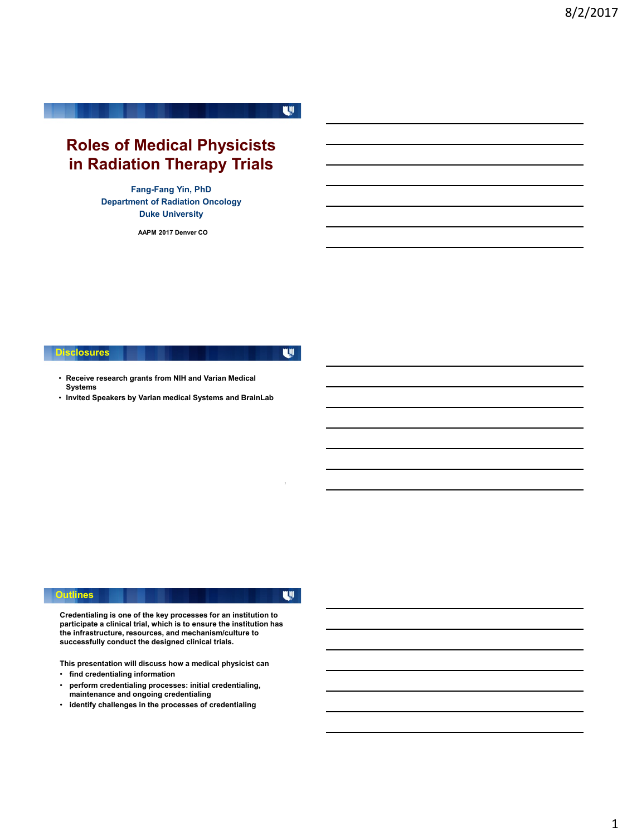# **Roles of Medical Physicists in Radiation Therapy Trials**

**Fang-Fang Yin, PhD Department of Radiation Oncology Duke University**

**AAPM 2017 Denver CO**

**Disclosures**

U

U

- **Receive research grants from NIH and Varian Medical Systems**
- **Invited Speakers by Varian medical Systems and BrainLab**

#### **Outlines**

 $\mathbf{w}$ 

**Credentialing is one of the key processes for an institution to participate a clinical trial, which is to ensure the institution has the infrastructure, resources, and mechanism/culture to successfully conduct the designed clinical trials.** 

**This presentation will discuss how a medical physicist can**

- **find credentialing information**
- **perform credentialing processes: initial credentialing, maintenance and ongoing credentialing**
- **identify challenges in the processes of credentialing**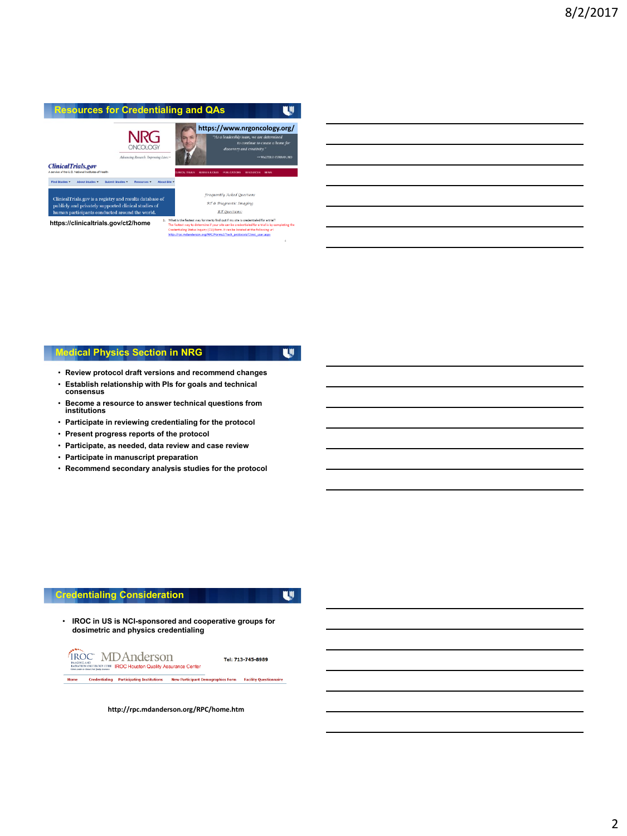

# **Medical Physics Section in NRG**

- U
- **Review protocol draft versions and recommend changes**
- **Establish relationship with PIs for goals and technical consensus**
- **Become a resource to answer technical questions from institutions**
- **Participate in reviewing credentialing for the protocol**
- **Present progress reports of the protocol**
- **Participate, as needed, data review and case review**
- **Participate in manuscript preparation**
- **Recommend secondary analysis studies for the protocol**

#### **Credentialing Consideration**

**U** 

• **IROC in US is NCI-sponsored and cooperative groups for dosimetric and physics credentialing**



Tel: 713-745-8989

Home Creder tialing Participating Institutions **New Participant Demographics Form Facility Questionnaire** 

**http://rpc.mdanderson.org/RPC/home.htm**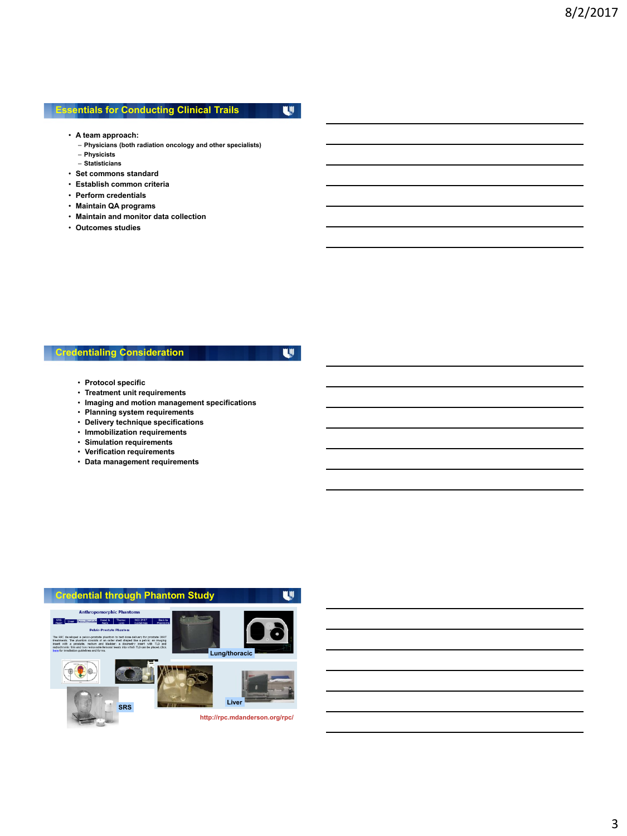### **Essentials for Conducting Clinical Trails**

U

- **A team approach:**
	- **Physicians (both radiation oncology and other specialists)**
	- **Physicists**
	- **Statisticians**
- **Set commons standard**
- **Establish common criteria**
- **Perform credentials**
- **Maintain QA programs**
- **Maintain and monitor data collection**
- **Outcomes studies**

# **Credentialing Consideration**

 $\mathbf{w}$ 

- **Protocol specific**
- **Treatment unit requirements**
- **Imaging and motion management specifications**
- **Planning system requirements**
- **Delivery technique specifications**
- **Immobilization requirements**
- **Simulation requirements**
- **Verification requirements**
- **Data management requirements**

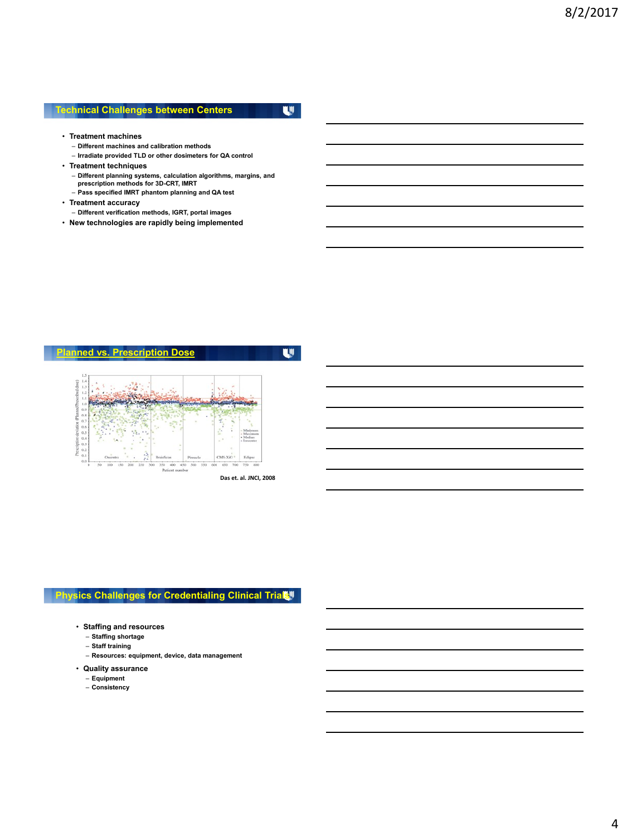#### **Technical Challenges between Centers**

U

 $\mathbf{w}$ 

- **Treatment machines**
	- **Different machines and calibration methods**
	- **Irradiate provided TLD or other dosimeters for QA control**
- **Treatment techniques**
	- **Different planning systems, calculation algorithms, margins, and prescription methods for 3D-CRT, IMRT**
	- **Pass specified IMRT phantom planning and QA test**
- **Treatment accuracy**
	- **Different verification methods, IGRT, portal images**
- **New technologies are rapidly being implemented**

#### **Planned vs. Prescription Dose**



**Das et. al. JNCI, 2008**

### **Physics Challenges for Credentialing Clinical Trial**

- **Staffing and resources**
	- **Staffing shortage**
	- **Staff training**
	- **Resources: equipment, device, data management**
- **Quality assurance**
	- **Equipment**
	- **Consistency**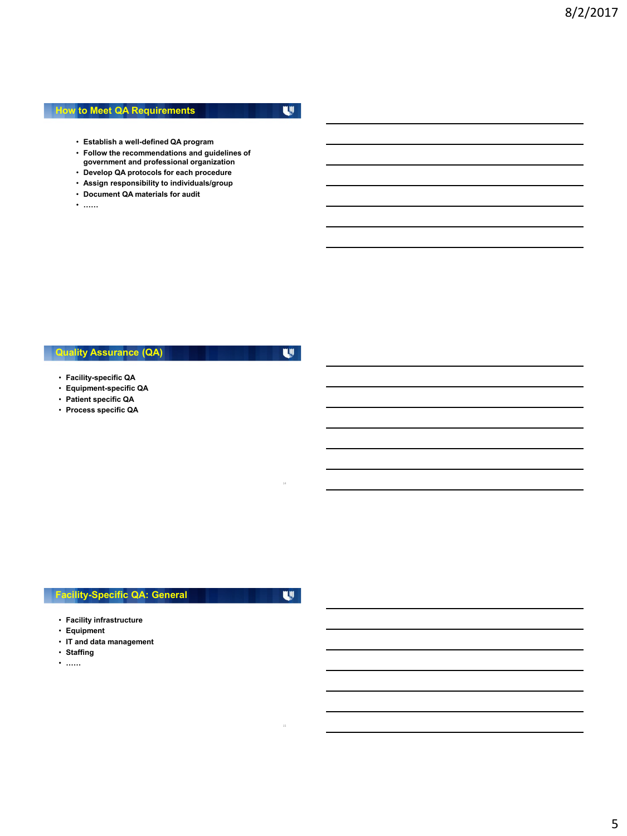#### **How to Meet QA Requirements**

 $\mathbf{w}$ 

- **Establish a well-defined QA program**
- **Follow the recommendations and guidelines of government and professional organization**
- **Develop QA protocols for each procedure**
- **Assign responsibility to individuals/group**
- **Document QA materials for audit**
- **……**

# **Quality Assurance (QA)**

 $\mathbf{w}$ 

- **Facility-specific QA**
- **Equipment-specific QA**
- **Patient specific QA**
- **Process specific QA**

### **Facility-Specific QA: General**

U

- **Facility infrastructure**
- **Equipment**
- **IT and data management**
- **Staffing**
- **……**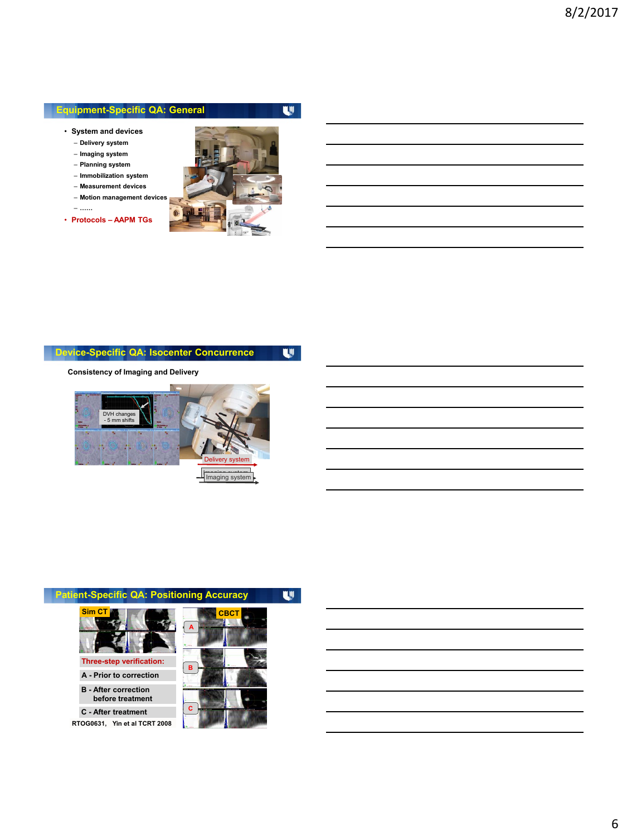#### **Equipment-Specific QA: General**

- **System and devices**
	- **Delivery system**
	- **Imaging system**
	- **Planning system**
	- **Immobilization system**
	- **Measurement devices**
	- **Motion management devices**
- **……**
- **Protocols – AAPM TGs**



U

#### **Device-Specific QA: Isocenter Concurrence**  $\mathbf{w}$

**Consistency of Imaging and Delivery**





**Yin et al TCRT 2008 RTOG0631, C - After treatment**

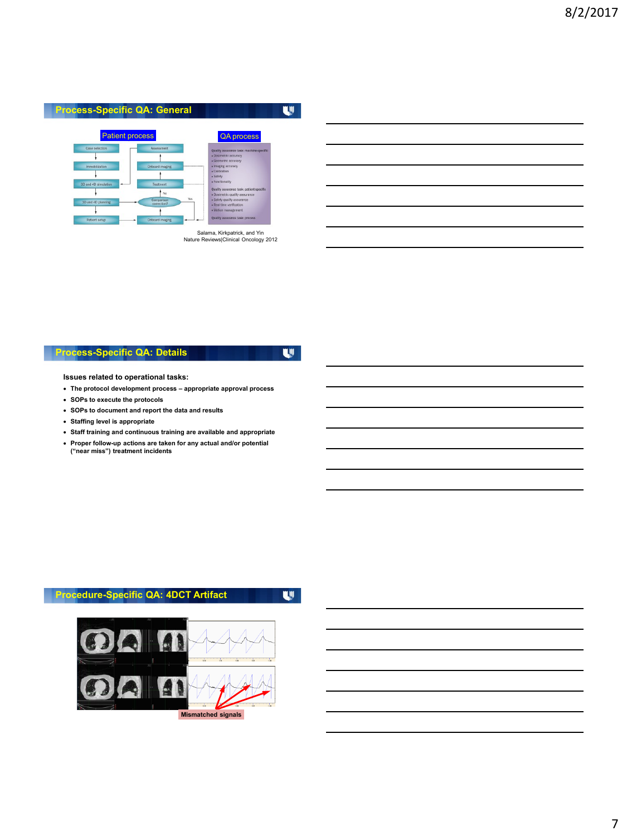#### **Process-Specific QA: General**



Salama, Kirkpatrick, and Yin Nature Reviews|Clinical Oncology 2012

### **Process-Specific QA: Details**

 $\mathbf{w}$ 

 $\mathbf{w}$ 

**Issues related to operational tasks:**

- **The protocol development process – appropriate approval process**
- **SOPs to execute the protocols**
- **SOPs to document and report the data and results**
- **Staffing level is appropriate**
- **Staff training and continuous training are available and appropriate**
- **Proper follow-up actions are taken for any actual and/or potential ("near miss") treatment incidents**

# **Procedure-Specific QA: 4DCT Artifact**